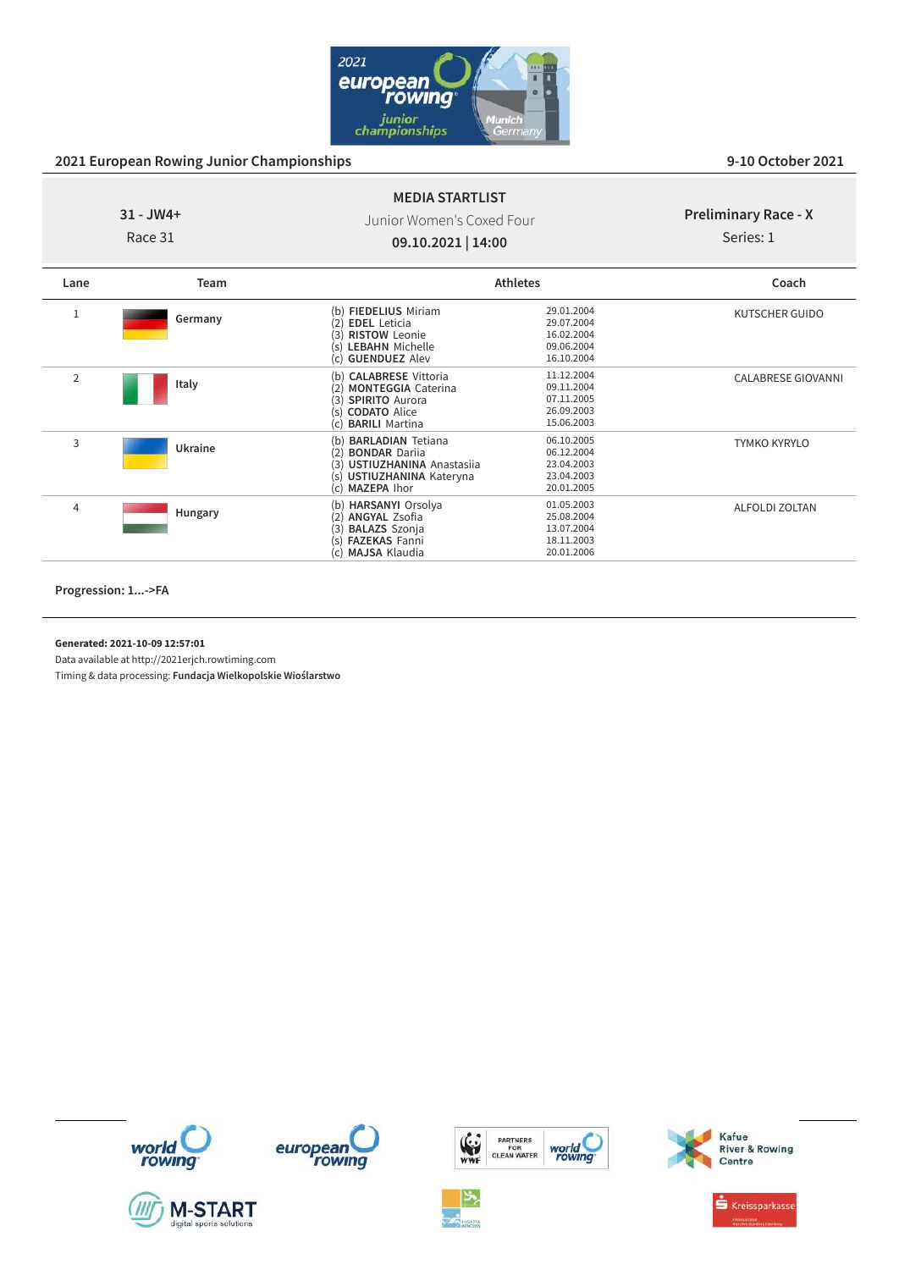

# **31 - JW4+** Race 31

## Junior Women's Coxed Four **09.10.2021 | 14:00**

**MEDIA STARTLIST**

## **Preliminary Race - X**

Series: 1

| Lane           | <b>Team</b> |                                                                                                                                                            | <b>Athletes</b>                                                    | Coach                     |
|----------------|-------------|------------------------------------------------------------------------------------------------------------------------------------------------------------|--------------------------------------------------------------------|---------------------------|
|                | Germany     | (b) FIEDELIUS Miriam<br><b>EDEL</b> Leticia<br>(2)<br><b>RISTOW Leonie</b><br>(3)<br><b>LEBAHN</b> Michelle<br>(s)<br>(c) GUENDUEZ Alev                    | 29.01.2004<br>29.07.2004<br>16.02.2004<br>09.06.2004<br>16.10.2004 | KUTSCHER GUIDO            |
| $\overline{2}$ | Italy       | (b) CALABRESE Vittoria<br><b>MONTEGGIA Caterina</b><br>(2)<br>(3)<br><b>SPIRITO Aurora</b><br>(s) <b>CODATO</b> Alice<br><b>BARILI Martina</b><br>(c)      | 11.12.2004<br>09.11.2004<br>07.11.2005<br>26.09.2003<br>15.06.2003 | <b>CALABRESE GIOVANNI</b> |
| 3              | Ukraine     | <b>BARLADIAN Tetiana</b><br>(b)<br><b>BONDAR Dariia</b><br>(2)<br>USTIUZHANINA Anastasija<br>(3)<br>USTIUZHANINA Kateryna<br>(s)<br>(c) <b>MAZEPA</b> Ihor | 06.10.2005<br>06.12.2004<br>23.04.2003<br>23.04.2003<br>20.01.2005 | <b>TYMKO KYRYLO</b>       |
| $\overline{4}$ | Hungary     | (b) HARSANYI Orsolya<br><b>ANGYAL Zsofia</b><br>(2)<br><b>BALAZS</b> Szonja<br>(3)<br><b>FAZEKAS Fanni</b><br>(s)<br><b>MAJSA Klaudia</b><br>(c)           | 01.05.2003<br>25.08.2004<br>13.07.2004<br>18.11.2003<br>20.01.2006 | <b>ALFOLDI ZOLTAN</b>     |

**Progression: 1...->FA**

**Generated: 2021-10-09 12:57:01**

Data available at http://2021erjch.rowtiming.com













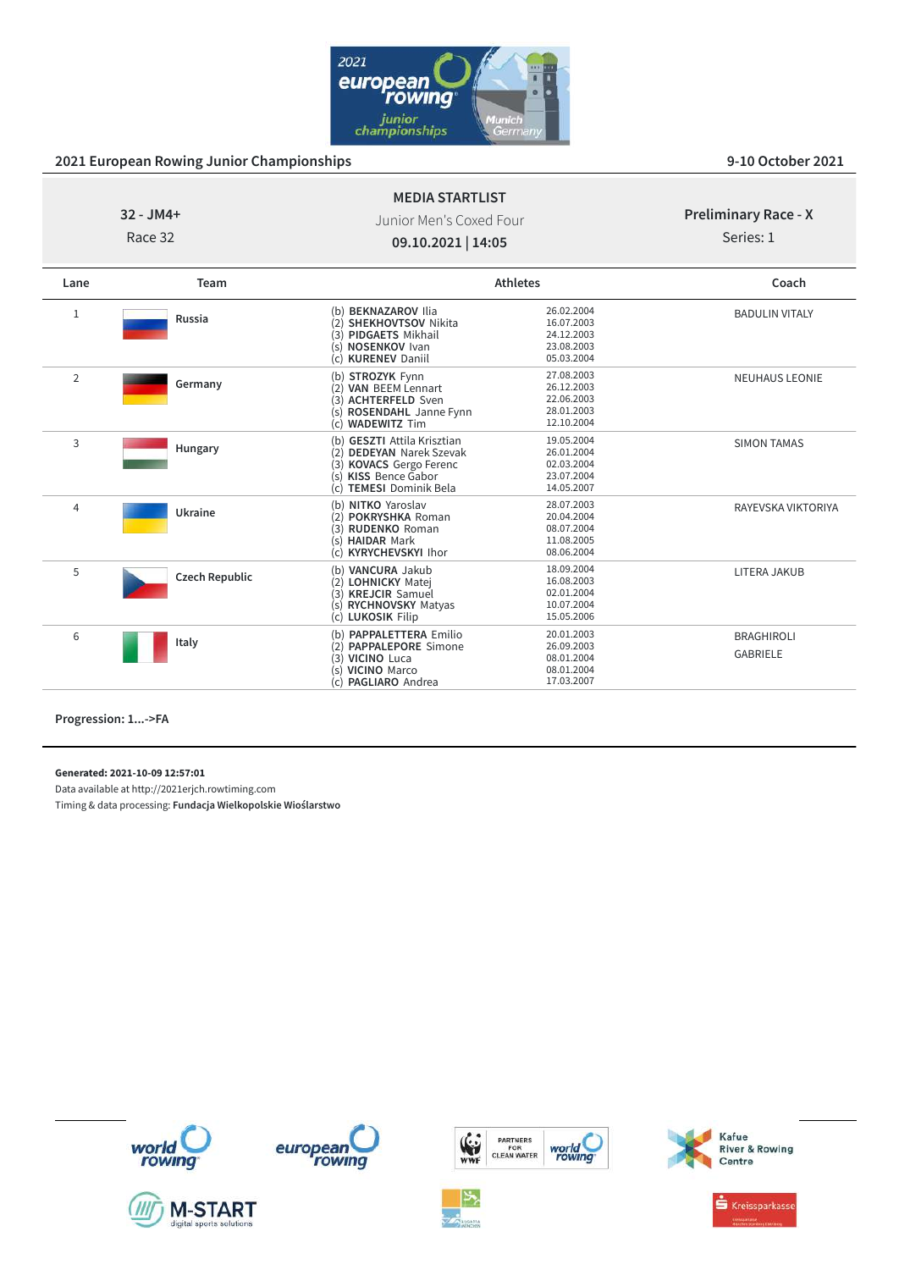

Race 32

Junior Men's Coxed Four **09.10.2021 | 14:05**

**MEDIA STARTLIST**

**Preliminary Race - X**

Series: 1

| Lane           | Team                  |                                                                                                                                                                               | <b>Athletes</b>                                                    | Coach                                |
|----------------|-----------------------|-------------------------------------------------------------------------------------------------------------------------------------------------------------------------------|--------------------------------------------------------------------|--------------------------------------|
| 1              | Russia                | (b) BEKNAZAROV Ilia<br><b>SHEKHOVTSOV Nikita</b><br>(2)<br>(3) PIDGAETS Mikhail<br>NOSENKOV Ivan<br>(s)<br>(c) KURENEV Daniil                                                 | 26.02.2004<br>16.07.2003<br>24.12.2003<br>23.08.2003<br>05.03.2004 | <b>BADULIN VITALY</b>                |
| $\overline{2}$ | Germany               | (b) STROZYK Fynn<br><b>VAN BEEM Lennart</b><br>(2)<br><b>ACHTERFELD Sven</b><br>(3)<br>ROSENDAHL Janne Fynn<br>(s)<br><b>WADEWITZ Tim</b><br>(c)                              | 27.08.2003<br>26.12.2003<br>22.06.2003<br>28.01.2003<br>12.10.2004 | <b>NEUHAUS LEONIE</b>                |
| 3              | Hungary               | (b) GESZTI Attila Krisztian<br>(2)<br><b>DEDEYAN</b> Narek Szevak<br>(3)<br><b>KOVACS</b> Gergo Ferenc<br><b>KISS</b> Bence Gabor<br>(s)<br><b>TEMESI Dominik Bela</b><br>(c) | 19.05.2004<br>26.01.2004<br>02.03.2004<br>23.07.2004<br>14.05.2007 | <b>SIMON TAMAS</b>                   |
| 4              | Ukraine               | (b) NITKO Yaroslav<br><b>POKRYSHKA Roman</b><br>(2)<br><b>RUDENKO Roman</b><br>(3)<br><b>HAIDAR Mark</b><br>(s)<br><b>KYRYCHEVSKYI Ihor</b><br>(C)                            | 28.07.2003<br>20.04.2004<br>08.07.2004<br>11.08.2005<br>08.06.2004 | RAYEVSKA VIKTORIYA                   |
| 5              | <b>Czech Republic</b> | (b) VANCURA Jakub<br>(2)<br><b>LOHNICKY Matej</b><br>(3) KREJCIR Samuel<br>(s) RYCHNOVSKY Matyas<br>(c) LUKOSIK Filip                                                         | 18.09.2004<br>16.08.2003<br>02.01.2004<br>10.07.2004<br>15.05.2006 | LITERA JAKUB                         |
| 6              | Italy                 | (b) <b>PAPPALETTERA</b> Emilio<br>(2) PAPPALEPORE Simone<br>(3) VICINO Luca<br>(s) VICINO Marco<br>PAGLIARO Andrea<br>(c)                                                     | 20.01.2003<br>26.09.2003<br>08.01.2004<br>08.01.2004<br>17.03.2007 | <b>BRAGHIROLI</b><br><b>GABRIELE</b> |

**Progression: 1...->FA**

**Generated: 2021-10-09 12:57:01**

Data available at http://2021erjch.rowtiming.com Timing & data processing: **Fundacja Wielkopolskie Wioślarstwo**



**M-START** 









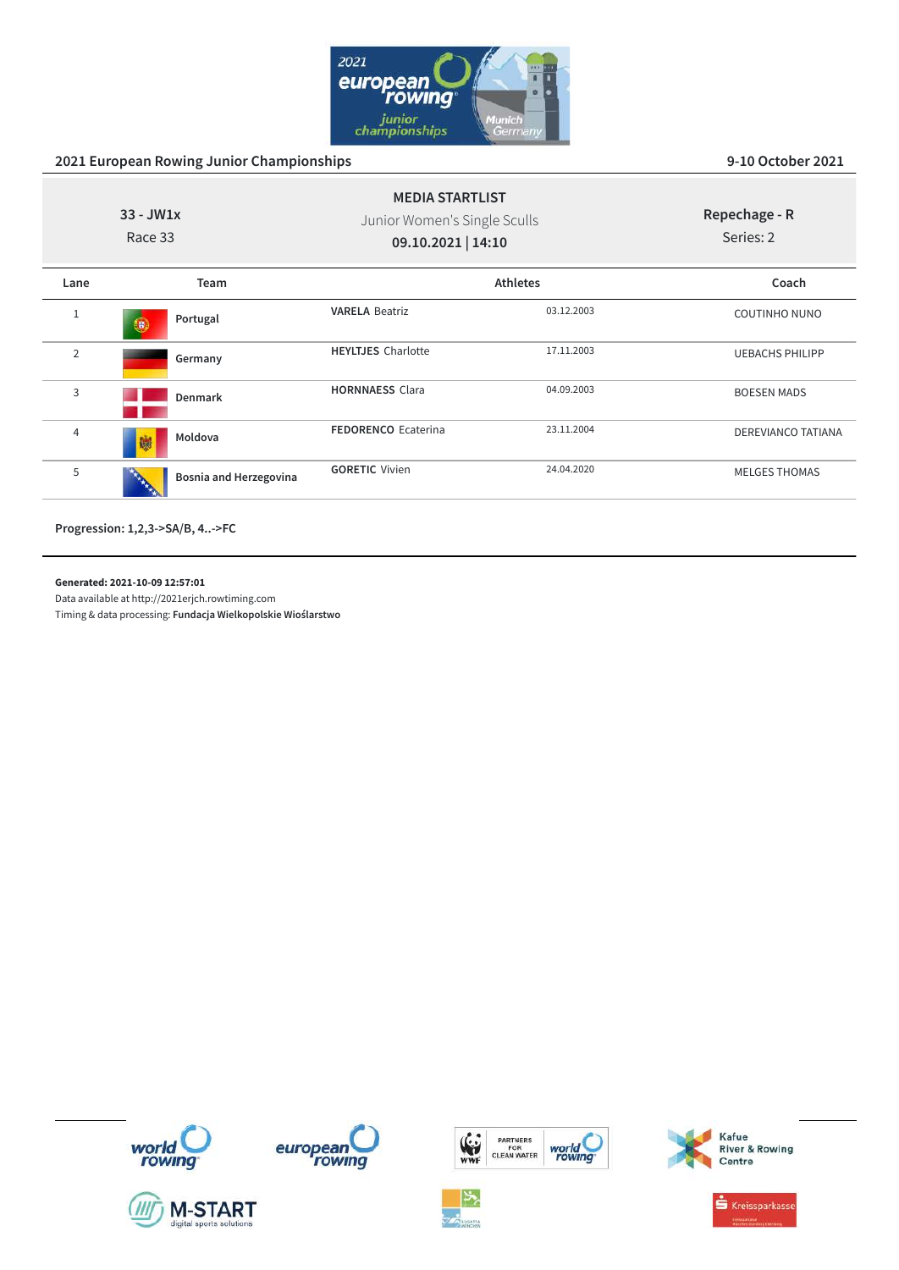

| $33 - JW1x$<br>Race 33 |                               | <b>MEDIA STARTLIST</b><br>Junior Women's Single Sculls<br>09.10.2021   14:10 |                 | Repechage - R<br>Series: 2 |
|------------------------|-------------------------------|------------------------------------------------------------------------------|-----------------|----------------------------|
| Lane                   | Team                          |                                                                              | <b>Athletes</b> | Coach                      |
| 1                      | Portugal<br>te.               | <b>VARELA Beatriz</b>                                                        | 03.12.2003      | <b>COUTINHO NUNO</b>       |
| $\overline{2}$         | Germany                       | <b>HEYLTJES</b> Charlotte                                                    | 17.11.2003      | <b>UEBACHS PHILIPP</b>     |
| 3                      | <b>Denmark</b>                | <b>HORNNAESS Clara</b>                                                       | 04.09.2003      | <b>BOESEN MADS</b>         |
| 4                      | Moldova<br>蹦                  | <b>FEDORENCO Ecaterina</b>                                                   | 23.11.2004      | DEREVIANCO TATIANA         |
| 5                      | <b>Bosnia and Herzegovina</b> | <b>GORETIC Vivien</b>                                                        | 24.04.2020      | <b>MELGES THOMAS</b>       |

**Progression: 1,2,3->SA/B, 4..->FC**

**Generated: 2021-10-09 12:57:01**

Data available at http://2021erjch.rowtiming.com Timing & data processing: **Fundacja Wielkopolskie Wioślarstwo**













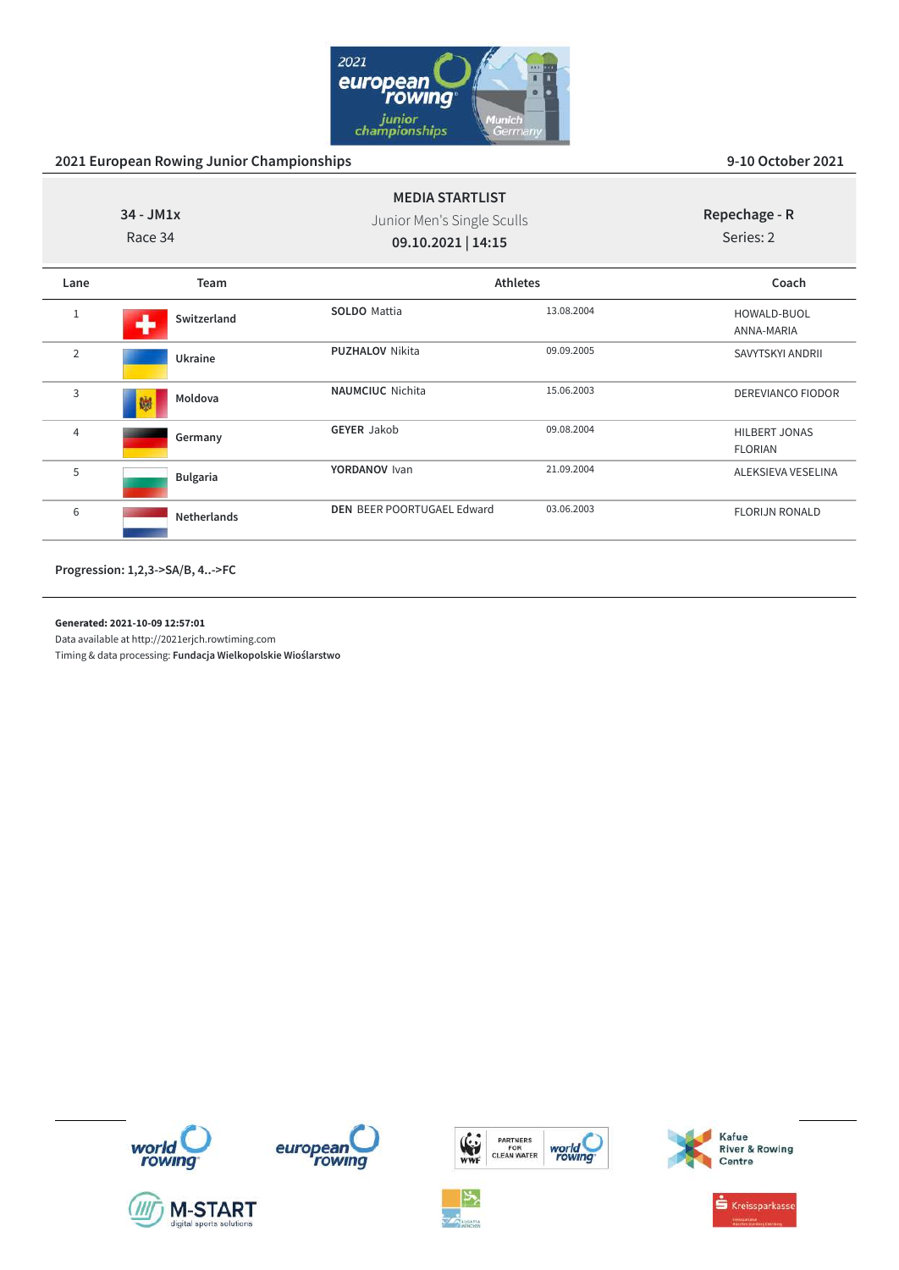

| $34 - JM1x$<br>Race 34 |                     | <b>MEDIA STARTLIST</b><br>Junior Men's Single Sculls<br>09.10.2021   14:15 |            | Repechage - R<br>Series: 2             |
|------------------------|---------------------|----------------------------------------------------------------------------|------------|----------------------------------------|
| Lane                   | Team                |                                                                            | Athletes   | Coach                                  |
| 1                      | Switzerland<br>مالد | <b>SOLDO</b> Mattia                                                        | 13.08.2004 | HOWALD-BUOL<br>ANNA-MARIA              |
| $\overline{2}$         | Ukraine             | <b>PUZHALOV Nikita</b>                                                     | 09.09.2005 | SAVYTSKYI ANDRII                       |
| 3                      | Moldova<br>蹦        | <b>NAUMCIUC</b> Nichita                                                    | 15.06.2003 | DEREVIANCO FIODOR                      |
| 4                      | Germany             | <b>GEYER Jakob</b>                                                         | 09.08.2004 | <b>HILBERT JONAS</b><br><b>FLORIAN</b> |
| 5                      | <b>Bulgaria</b>     | YORDANOV Ivan                                                              | 21.09.2004 | ALEKSIEVA VESELINA                     |
| 6                      | <b>Netherlands</b>  | <b>DEN BEER POORTUGAEL Edward</b>                                          | 03.06.2003 | <b>FLORIJN RONALD</b>                  |

**Progression: 1,2,3->SA/B, 4..->FC**

### **Generated: 2021-10-09 12:57:01**

Data available at http://2021erjch.rowtiming.com















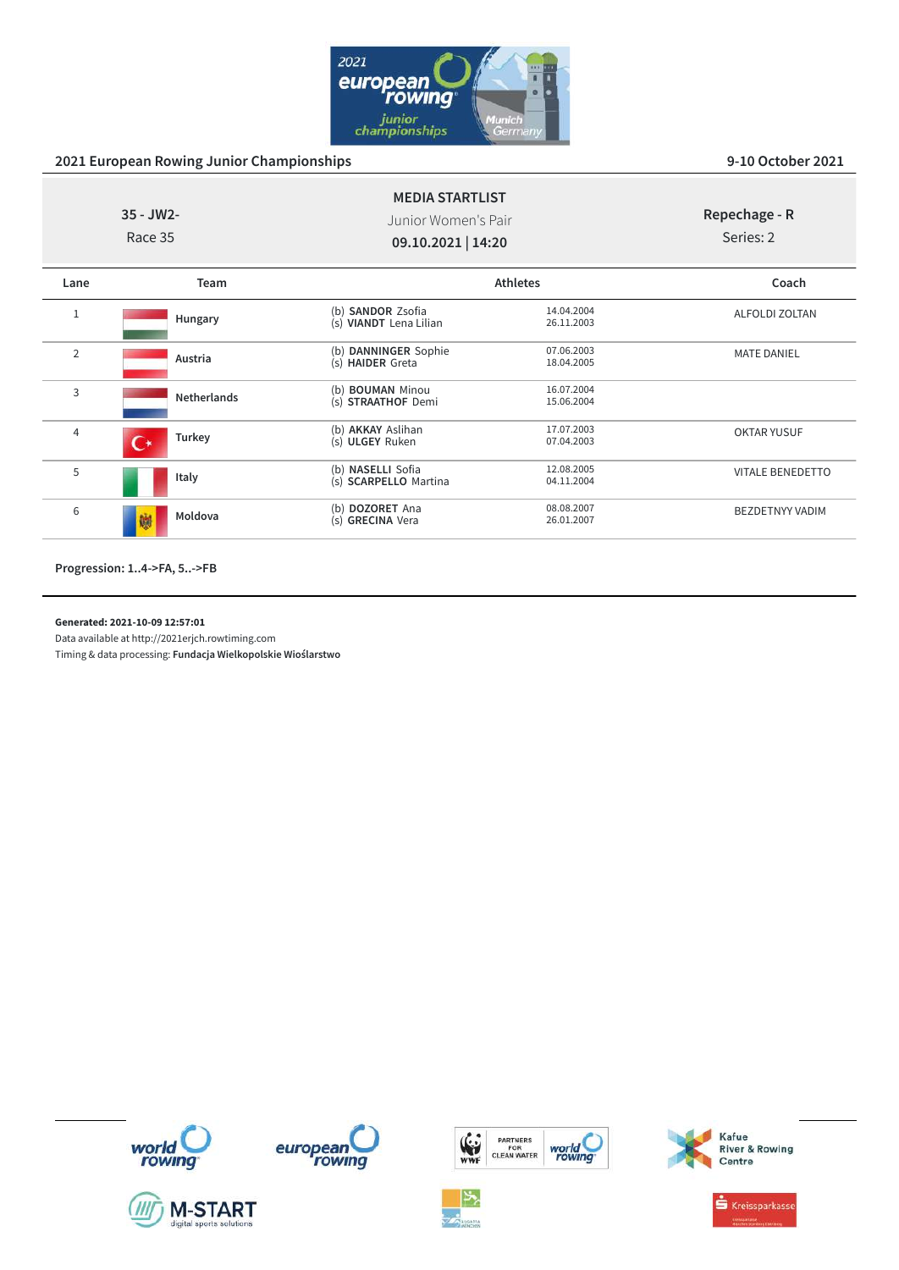

| $35 - JW2 -$<br>Race 35  | Junior Women's Pair<br>09.10.2021   14:20         |                          | Repechage - R<br>Series: 2                |
|--------------------------|---------------------------------------------------|--------------------------|-------------------------------------------|
| Team                     |                                                   |                          | Coach                                     |
| Hungary                  | (b) SANDOR Zsofia<br>(s) VIANDT Lena Lilian       | 14.04.2004<br>26.11.2003 | <b>ALFOLDI ZOLTAN</b>                     |
| Austria                  | (b) DANNINGER Sophie<br>(s) HAIDER Greta          | 07.06.2003<br>18.04.2005 | <b>MATE DANIEL</b>                        |
| <b>Netherlands</b>       | (b) <b>BOUMAN</b> Minou<br>(s) STRAATHOF Demi     | 16.07.2004<br>15.06.2004 |                                           |
| Turkey<br>$\mathsf{C}^*$ | (b) AKKAY Aslihan<br>(s) ULGEY Ruken              | 17.07.2003<br>07.04.2003 | <b>OKTAR YUSUF</b>                        |
| Italy                    | (b) NASELLI Sofia<br>(s) <b>SCARPELLO</b> Martina | 12.08.2005<br>04.11.2004 | <b>VITALE BENEDETTO</b>                   |
| Moldova<br>鱜             | (b) DOZORET Ana<br>(s) GRECINA Vera               | 08.08.2007<br>26.01.2007 | <b>BEZDETNYY VADIM</b>                    |
|                          |                                                   |                          | <b>MEDIA STARTLIST</b><br><b>Athletes</b> |

**Progression: 1..4->FA, 5..->FB**

### **Generated: 2021-10-09 12:57:01**

Data available at http://2021erjch.rowtiming.com













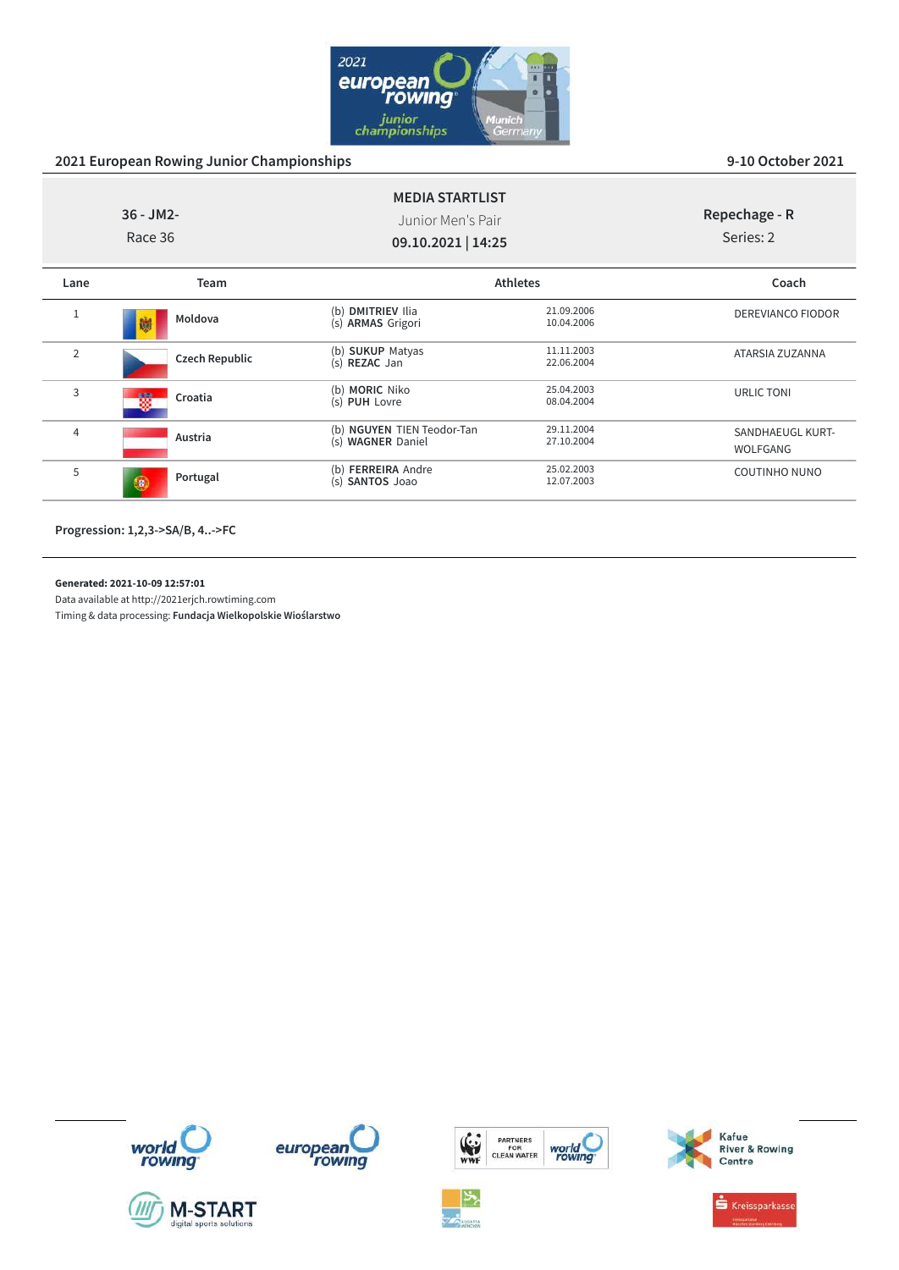

|                | $36 - JM2 -$<br>Race 36 | <b>MEDIA STARTLIST</b><br>Junior Men's Pair<br>09.10.2021   14:25 |                          | Repechage - R<br>Series: 2          |
|----------------|-------------------------|-------------------------------------------------------------------|--------------------------|-------------------------------------|
| Lane           | Team                    |                                                                   | <b>Athletes</b>          | Coach                               |
|                | Moldova<br>鱜            | (b) DMITRIEV Ilia<br>(s) ARMAS Grigori                            | 21.09.2006<br>10.04.2006 | <b>DEREVIANCO FIODOR</b>            |
| $\overline{2}$ | Czech Republic          | (b) <b>SUKUP</b> Matyas<br>(s) REZAC Jan                          | 11.11.2003<br>22.06.2004 | ATARSIA ZUZANNA                     |
| 3              | Croatia                 | (b) MORIC Niko<br>(s) PUH Lovre                                   | 25.04.2003<br>08.04.2004 | URLIC TONI                          |
| $\overline{4}$ | Austria                 | (b) NGUYEN TIEN Teodor-Tan<br>(s) WAGNER Daniel                   | 29.11.2004<br>27.10.2004 | SANDHAEUGL KURT-<br><b>WOLFGANG</b> |
| 5              | Portugal<br>49.         | (b) FERREIRA Andre<br>(s) SANTOS Joao                             | 25.02.2003<br>12.07.2003 | <b>COUTINHO NUNO</b>                |

**Progression: 1,2,3->SA/B, 4..->FC**

**Generated: 2021-10-09 12:57:01**

Data available at http://2021erjch.rowtiming.com















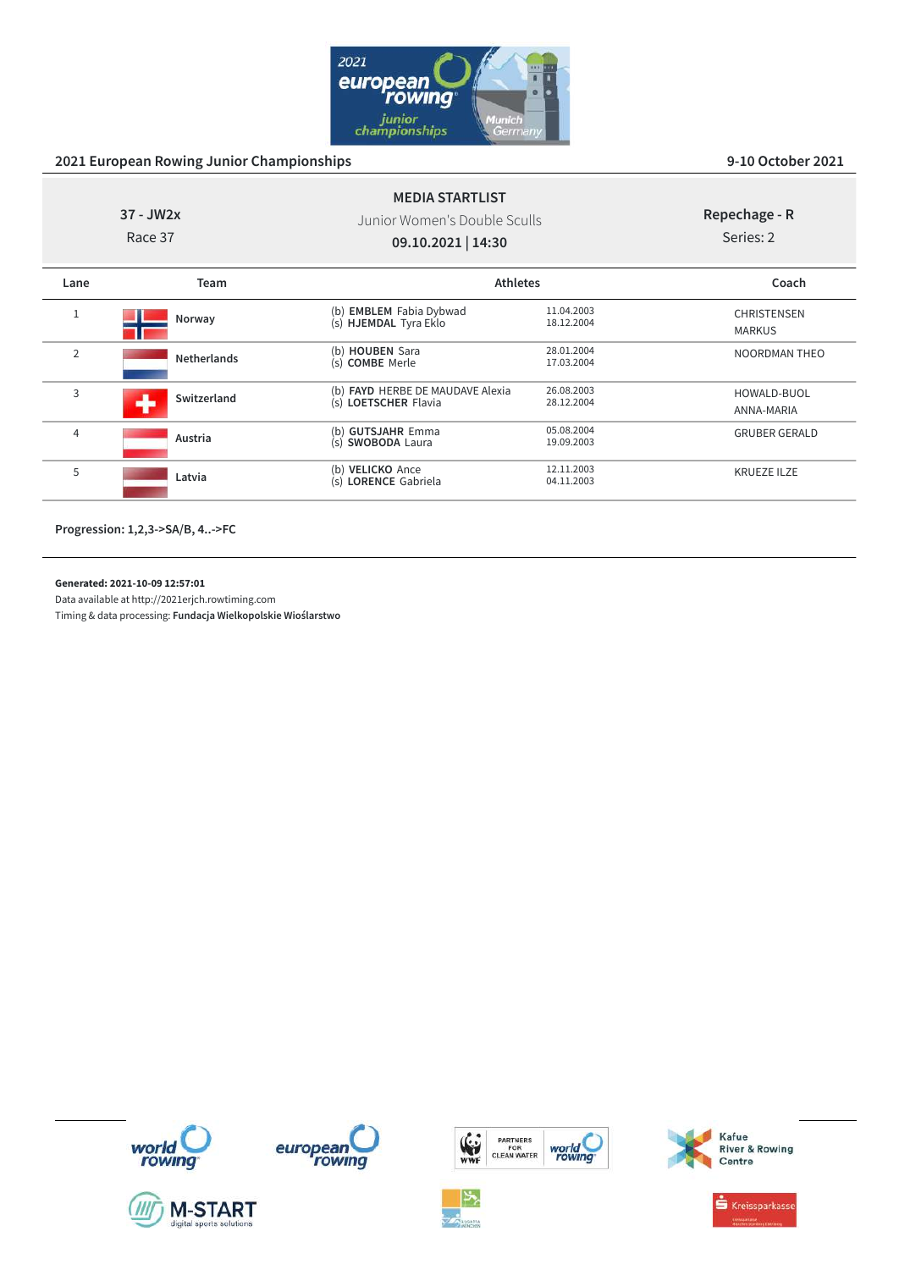

| $37 - JW2x$<br>Race 37 |                    | <b>MEDIA STARTLIST</b><br>Junior Women's Double Sculls<br>09.10.2021   14:30 |                          | Repechage - R<br>Series: 2          |
|------------------------|--------------------|------------------------------------------------------------------------------|--------------------------|-------------------------------------|
| Lane                   | <b>Team</b>        | <b>Athletes</b>                                                              |                          | Coach                               |
| $\mathbf{1}$           | Norway             | (b) <b>EMBLEM</b> Fabia Dybwad<br>(s) <b>HJEMDAL</b> Tyra Eklo               | 11.04.2003<br>18.12.2004 | <b>CHRISTENSEN</b><br><b>MARKUS</b> |
| $\overline{2}$         | <b>Netherlands</b> | (b) <b>HOUBEN</b> Sara<br>(s) <b>COMBE</b> Merle                             | 28.01.2004<br>17.03.2004 | <b>NOORDMAN THEO</b>                |
| 3                      | Switzerland        | (b) FAYD HERBE DE MAUDAVE Alexia<br>(s) LOETSCHER Flavia                     | 26.08.2003<br>28.12.2004 | HOWALD-BUOL<br>ANNA-MARIA           |
| $\overline{4}$         | Austria            | (b) GUTSJAHR Emma<br>(s) SWOBODA Laura                                       | 05.08.2004<br>19.09.2003 | <b>GRUBER GERALD</b>                |
| 5                      | Latvia             | (b) VELICKO Ance<br>(s) LORENCE Gabriela                                     | 12.11.2003<br>04.11.2003 | <b>KRUEZE ILZE</b>                  |
|                        |                    |                                                                              |                          |                                     |

**Progression: 1,2,3->SA/B, 4..->FC**

**Generated: 2021-10-09 12:57:01**

Data available at http://2021erjch.rowtiming.com Timing & data processing: **Fundacja Wielkopolskie Wioślarstwo**















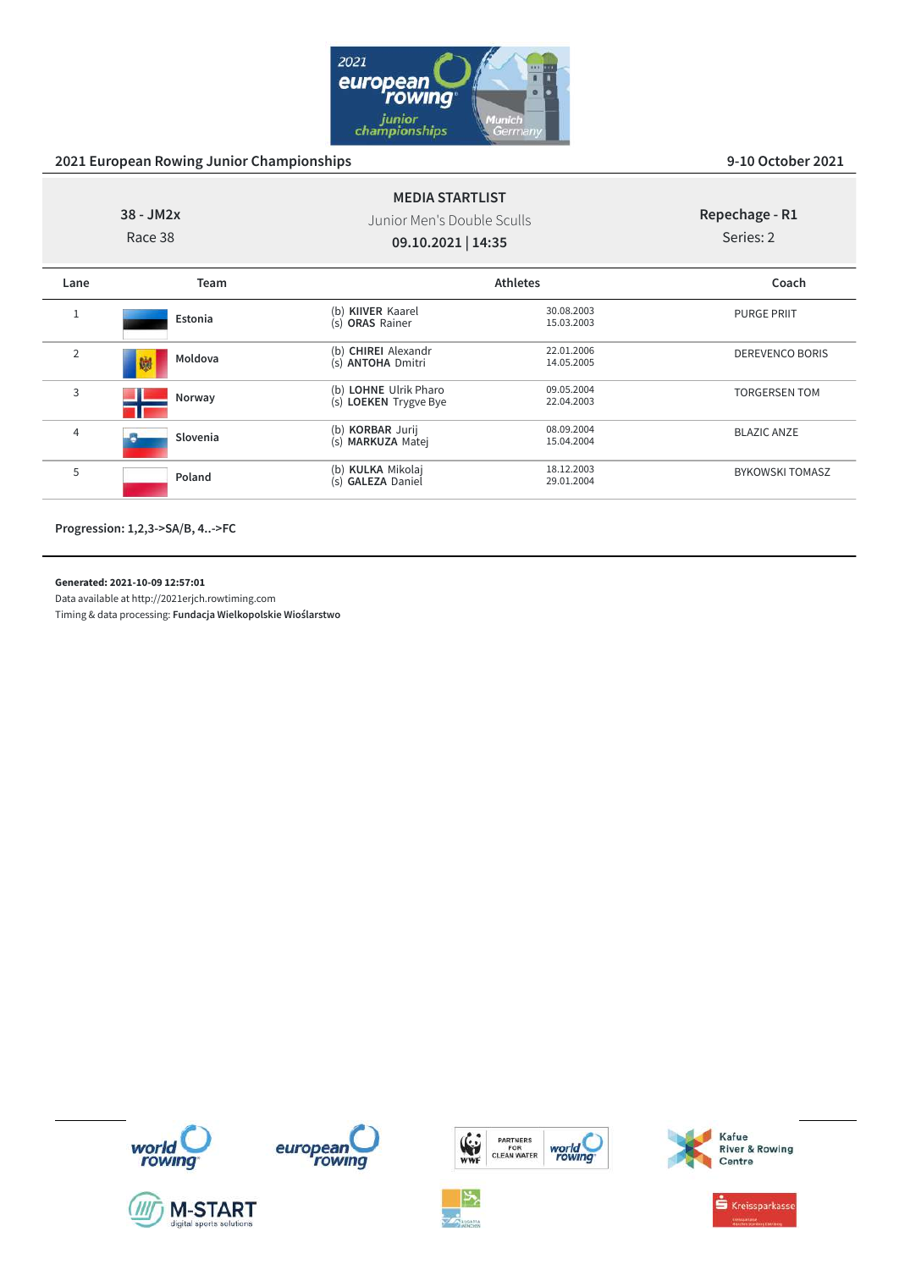

| $38 - JM2x$<br>Race 38 |              | <b>MEDIA STARTLIST</b><br>Junior Men's Double Sculls<br>09.10.2021   14:35 |                          | Repechage - R1<br>Series: 2 |
|------------------------|--------------|----------------------------------------------------------------------------|--------------------------|-----------------------------|
| Lane                   | Team         |                                                                            | <b>Athletes</b>          | Coach                       |
| $\mathbf{1}$           | Estonia      | (b) KIIVER Kaarel<br>(s) ORAS Rainer                                       | 30.08.2003<br>15.03.2003 | <b>PURGE PRIIT</b>          |
| $\overline{2}$         | Moldova<br>鰤 | (b) CHIREI Alexandr<br>(s) ANTOHA Dmitri                                   | 22.01.2006<br>14.05.2005 | <b>DEREVENCO BORIS</b>      |
| 3                      | Norway       | (b) LOHNE Ulrik Pharo<br>(s) LOEKEN Trygve Bye                             | 09.05.2004<br>22.04.2003 | <b>TORGERSEN TOM</b>        |
| 4                      | Slovenia     | (b) KORBAR Jurij<br>(s) MARKUZA Matej                                      | 08.09.2004<br>15.04.2004 | <b>BLAZIC ANZE</b>          |
| 5                      | Poland       | (b) KULKA Mikolaj<br>(s) GALEZA Daniel                                     | 18.12.2003<br>29.01.2004 | <b>BYKOWSKI TOMASZ</b>      |

**Progression: 1,2,3->SA/B, 4..->FC**

**Generated: 2021-10-09 12:57:01**

Data available at http://2021erjch.rowtiming.com













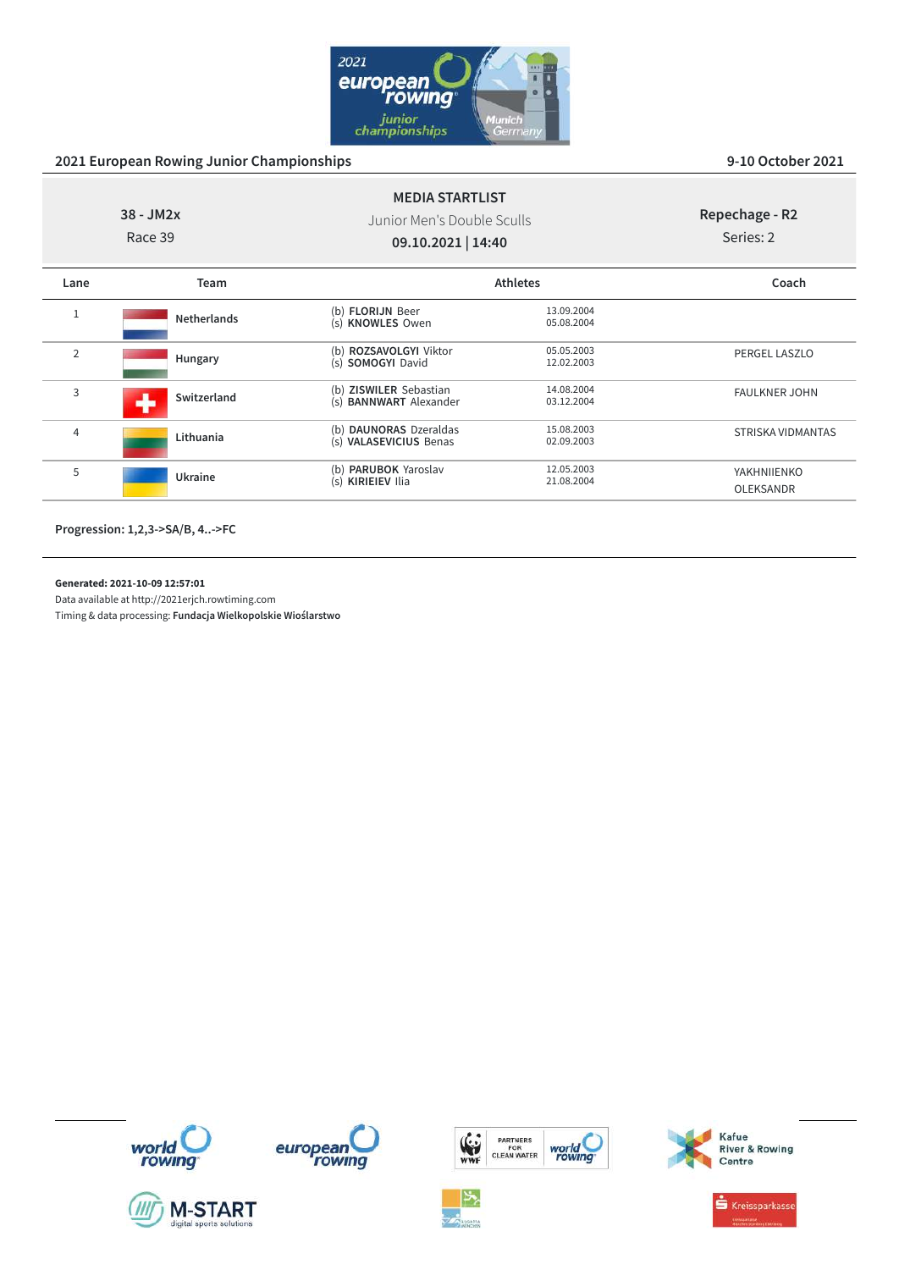

|                | $38 - JM2x$<br>Race 39 | <b>MEDIA STARTLIST</b><br>Junior Men's Double Sculls<br>09.10.2021   14:40 |                          | Repechage - R2<br>Series: 2 |  |
|----------------|------------------------|----------------------------------------------------------------------------|--------------------------|-----------------------------|--|
| Lane           | Team                   |                                                                            | <b>Athletes</b>          | Coach                       |  |
| $\mathbf{1}$   | <b>Netherlands</b>     | (b) <b>FLORIJN</b> Beer<br>(s) KNOWLES Owen                                | 13.09.2004<br>05.08.2004 |                             |  |
| $\overline{2}$ | Hungary                | (b) ROZSAVOLGYI Viktor<br>(s) SOMOGYI David                                | 05.05.2003<br>12.02.2003 | PERGEL LASZLO               |  |
| 3              | Switzerland<br>۰.      | (b) ZISWILER Sebastian<br><b>BANNWART</b> Alexander<br>(s)                 | 14.08.2004<br>03.12.2004 | <b>FAULKNER JOHN</b>        |  |
| 4              | Lithuania              | (b) DAUNORAS Dzeraldas<br>(s) VALASEVICIUS Benas                           | 15.08.2003<br>02.09.2003 | STRISKA VIDMANTAS           |  |
| 5              | Ukraine                | (b) <b>PARUBOK</b> Yaroslav<br>(s) KIRIEIEV Ilia                           | 12.05.2003<br>21.08.2004 | YAKHNIIENKO<br>OLEKSANDR    |  |
|                |                        |                                                                            |                          |                             |  |

**Progression: 1,2,3->SA/B, 4..->FC**

**Generated: 2021-10-09 12:57:01**

Data available at http://2021erjch.rowtiming.com Timing & data processing: **Fundacja Wielkopolskie Wioślarstwo**











Kafue<br>River & Rowing<br>Centre

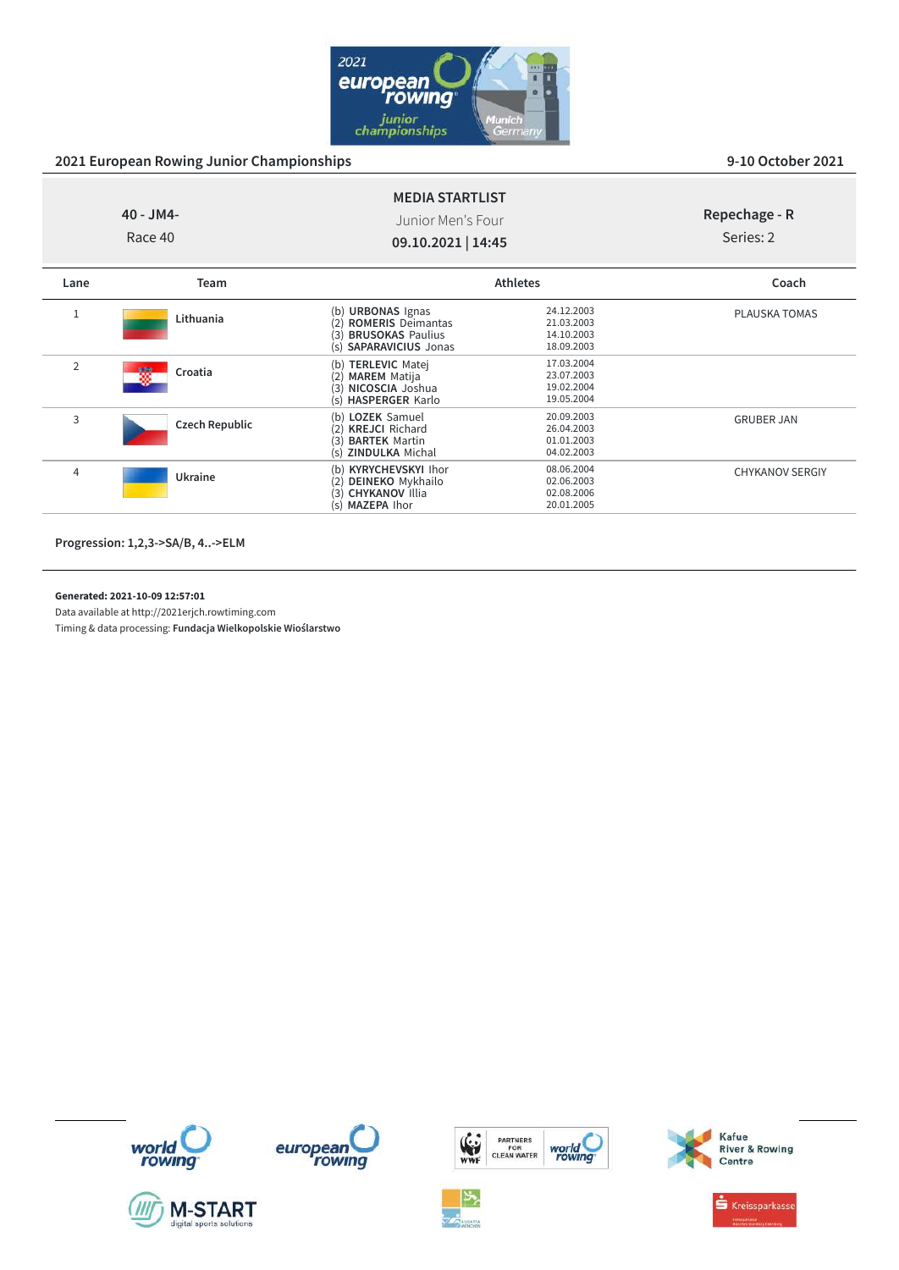

GRUBER JAN

CHYKANOV SERGIY

| 40 - JM4-<br>Race 40 |              |                                                                                              | <b>MEDIA STARTLIST</b><br>Junior Men's Four<br>09.10.2021   14:45 |               |
|----------------------|--------------|----------------------------------------------------------------------------------------------|-------------------------------------------------------------------|---------------|
| Lane                 | <b>Team</b>  |                                                                                              | <b>Athletes</b>                                                   | Coach         |
|                      | Lithuania    | (b) URBONAS Ignas<br>(2) ROMERIS Deimantas<br>(3) BRUSOKAS Paulius<br>(s) SAPARAVICIUS Jonas | 24.12.2003<br>21.03.2003<br>14.10.2003<br>18.09.2003              | PLAUSKA TOMAS |
| $\overline{2}$       | 鑁<br>Croatia | (b) TERLEVIC Matej<br><b>MAREM</b> Matija<br>(2)<br>(3) NICOSCIA Joshua                      | 17.03.2004<br>23.07.2003<br>19.02.2004                            |               |

(s) **HASPERGER** Karlo 19.05.2004<br>
(b) LOZEK Samuel 20.09.2003

(b) **LOZEK** Samuel 20.09.2003 (2) **KREJCI** Richard 26.04.2003 (3) **BARTEK** Martin 01.01.2003 (s) **ZINDULKA** Michal 04.02.2003

(b) **KYRYCHEVSKYI** Ihor 08.06.2004 (2) **DEINEKO** Mykhailo 02.06.2003 (3) **CHYKANOV** Illia 02.08.2006 (s) **MAZEPA** Ihor 20.01.2005

**Progression: 1,2,3->SA/B, 4..->ELM**

<sup>4</sup> **Ukraine**

<sup>3</sup> **Czech Republic**

**Generated: 2021-10-09 12:57:01**

Data available at http://2021erjch.rowtiming.com















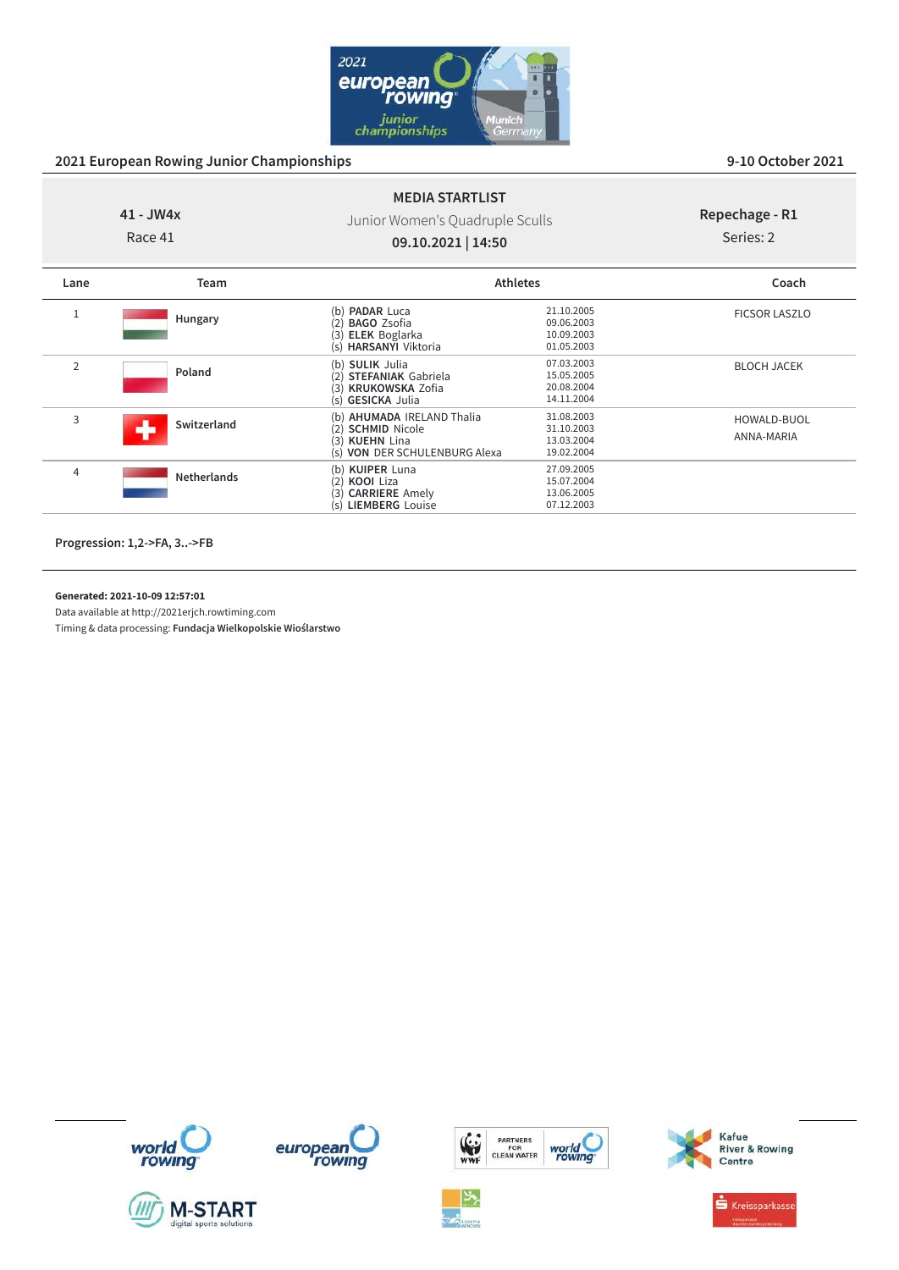

# **41 - JW4x**

Race 41

Junior Women's Quadruple Sculls **09.10.2021 | 14:50**

**MEDIA STARTLIST**

### **Repechage - R1** Series: 2

| Lane           | Team               | <b>Athletes</b>                                                                                               |                                                      | Coach                     |
|----------------|--------------------|---------------------------------------------------------------------------------------------------------------|------------------------------------------------------|---------------------------|
|                | Hungary            | <b>PADAR Luca</b><br>(b)<br><b>BAGO Zsofia</b><br>(2)<br><b>ELEK</b> Boglarka<br>(3)<br>(s) HARSANYI Viktoria | 21.10.2005<br>09.06.2003<br>10.09.2003<br>01.05.2003 | <b>FICSOR LASZLO</b>      |
| $\overline{2}$ | Poland             | (b) SULIK Julia<br>(2) STEFANIAK Gabriela<br>(3) KRUKOWSKA Zofia<br>(s) GESICKA Julia                         | 07.03.2003<br>15.05.2005<br>20.08.2004<br>14.11.2004 | <b>BLOCH JACEK</b>        |
| 3              | Switzerland        | (b) AHUMADA IRELAND Thalia<br>(2) SCHMID Nicole<br>(3) KUEHN Lina<br>(s) VON DER SCHULENBURG Alexa            | 31.08.2003<br>31.10.2003<br>13.03.2004<br>19.02.2004 | HOWALD-BUOL<br>ANNA-MARIA |
| 4              | <b>Netherlands</b> | (b) KUIPER Luna<br>(2)<br>KOOI Liza<br><b>CARRIERE</b> Amely<br>(3)<br>(s) LIEMBERG Louise                    | 27.09.2005<br>15.07.2004<br>13.06.2005<br>07.12.2003 |                           |

**Progression: 1,2->FA, 3..->FB**

### **Generated: 2021-10-09 12:57:01**

Data available at http://2021erjch.rowtiming.com

















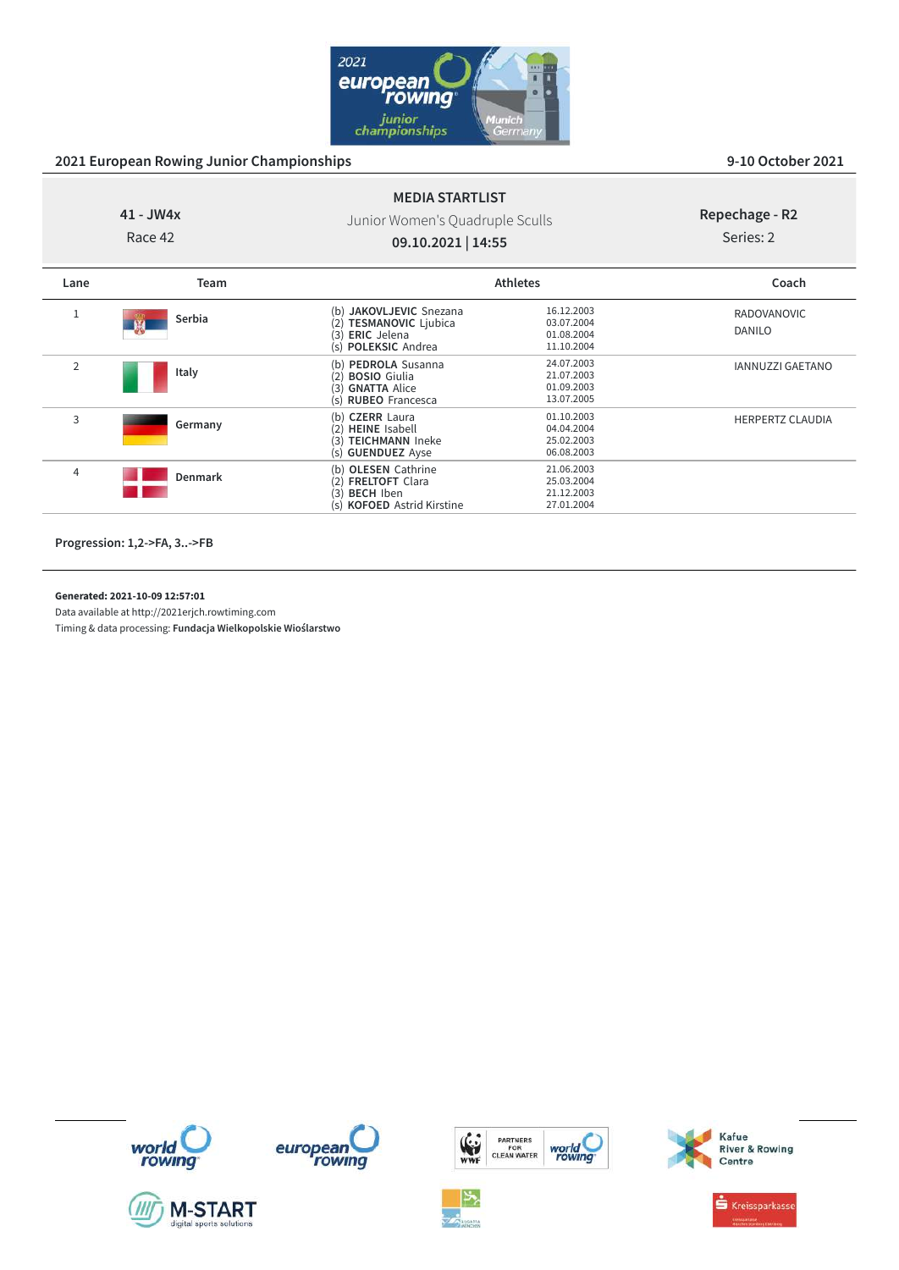

## **41 - JW4x**

Race 42

## Junior Women's Quadruple Sculls **09.10.2021 | 14:55**

**MEDIA STARTLIST**

# **Repechage - R2**

# Series: 2

| Lane           | Team    | <b>Athletes</b>                                                                                                  |                                                      | Coach                   |  |
|----------------|---------|------------------------------------------------------------------------------------------------------------------|------------------------------------------------------|-------------------------|--|
|                | Serbia  | (b) JAKOVLJEVIC Snezana<br><b>TESMANOVIC Ljubica</b><br>(2)<br><b>ERIC</b> Jelena<br>(3)<br>(s) POLEKSIC Andrea  | 16.12.2003<br>03.07.2004<br>01.08.2004<br>11.10.2004 | RADOVANOVIC<br>DANILO   |  |
| $\overline{2}$ | Italy   | (b) PEDROLA Susanna<br><b>BOSIO</b> Giulia<br>(2)<br><b>GNATTA Alice</b><br>(3)<br>(s) RUBEO Francesca           | 24.07.2003<br>21.07.2003<br>01.09.2003<br>13.07.2005 | <b>IANNUZZI GAETANO</b> |  |
| 3              | Germany | (b) CZERR Laura<br>(2) HEINE Isabell<br><b>TEICHMANN Ineke</b><br>(3)<br>(s) <b>GUENDUEZ</b> Ayse                | 01.10.2003<br>04.04.2004<br>25.02.2003<br>06.08.2003 | <b>HERPERTZ CLAUDIA</b> |  |
| 4              | Denmark | (b) OLESEN Cathrine<br>(2) <b>FRELTOFT</b> Clara<br><b>BECH Iben</b><br>(3)<br>(s) <b>KOFOED</b> Astrid Kirstine | 21.06.2003<br>25.03.2004<br>21.12.2003<br>27.01.2004 |                         |  |

**Progression: 1,2->FA, 3..->FB**

### **Generated: 2021-10-09 12:57:01**

Data available at http://2021erjch.rowtiming.com













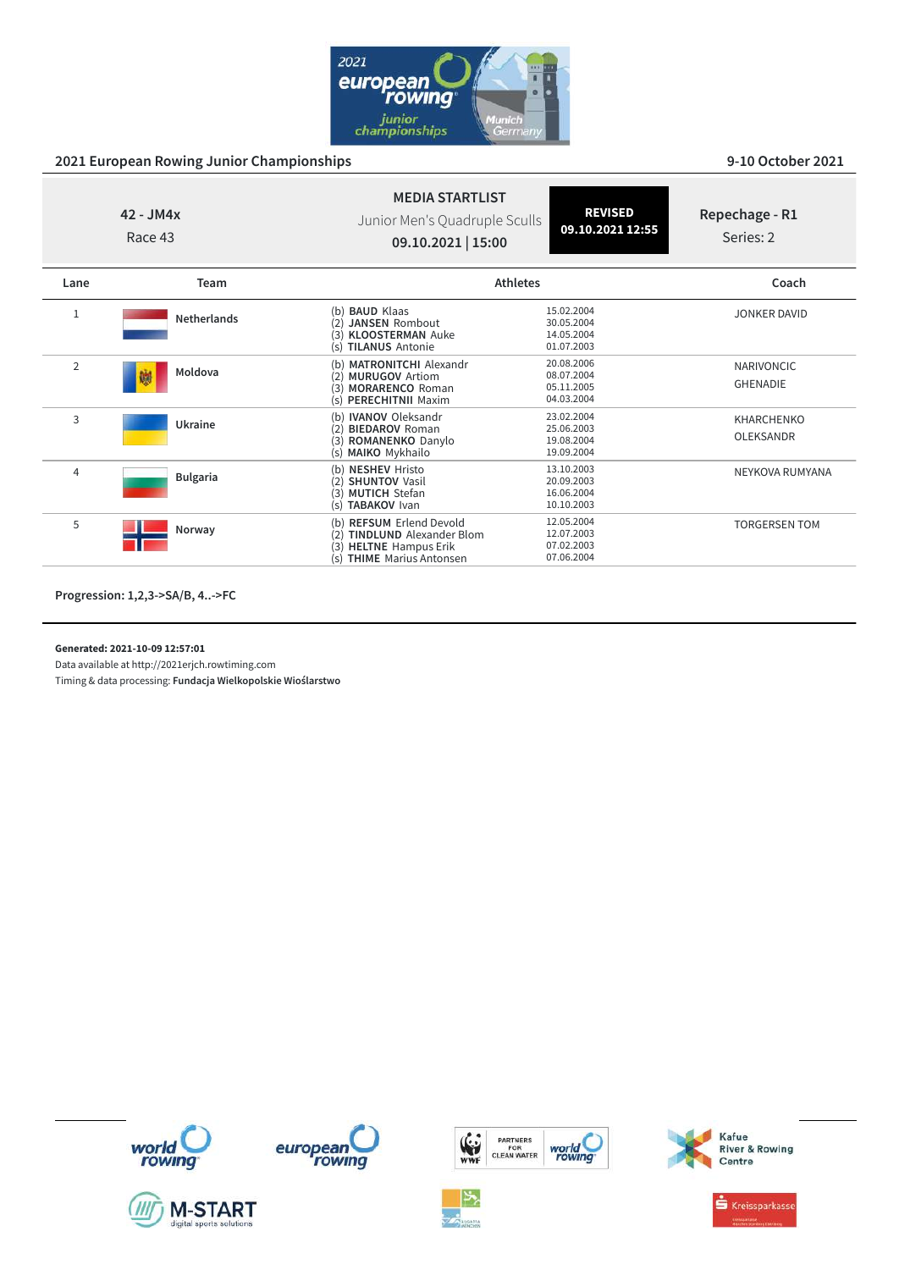

| $42 - JM4x$<br>Race 43 |                    | <b>MEDIA STARTLIST</b><br>Junior Men's Quadruple Sculls<br>09.10.2021   15:00                                                                | <b>REVISED</b><br>09.10.2021 12:55                   | Repechage - R1<br>Series: 2           |
|------------------------|--------------------|----------------------------------------------------------------------------------------------------------------------------------------------|------------------------------------------------------|---------------------------------------|
| Lane                   | Team               | <b>Athletes</b>                                                                                                                              |                                                      | Coach                                 |
|                        | <b>Netherlands</b> | <b>BAUD Klaas</b><br>(b)<br><b>JANSEN Rombout</b><br>(3)<br><b>KLOOSTERMAN Auke</b><br><b>TILANUS Antonie</b><br>(s)                         | 15.02.2004<br>30.05.2004<br>14.05.2004<br>01.07.2003 | <b>JONKER DAVID</b>                   |
| $\overline{2}$         | Moldova<br>鱜       | (b) MATRONITCHI Alexandr<br><b>MURUGOV Artiom</b><br>(2)<br><b>MORARENCO Roman</b><br>(3)<br>(s) PERECHITNII Maxim                           | 20.08.2006<br>08.07.2004<br>05.11.2005<br>04.03.2004 | <b>NARIVONCIC</b><br><b>GHENADIE</b>  |
| 3                      | Ukraine            | (b) <b>IVANOV</b> Oleksandr<br><b>BIEDAROV Roman</b><br>(2)<br>(3)<br>ROMANENKO Danylo<br>(s) MAIKO Mykhailo                                 | 23.02.2004<br>25.06.2003<br>19.08.2004<br>19.09.2004 | <b>KHARCHENKO</b><br><b>OLEKSANDR</b> |
| $\overline{4}$         | <b>Bulgaria</b>    | (b) NESHEV Hristo<br><b>SHUNTOV Vasil</b><br>(3) MUTICH Stefan<br>(s) TABAKOV Ivan                                                           | 13.10.2003<br>20.09.2003<br>16.06.2004<br>10.10.2003 | NEYKOVA RUMYANA                       |
| 5                      | Norway             | (b) REFSUM Erlend Devold<br><b>TINDLUND</b> Alexander Blom<br>(2)<br><b>HELTNE</b> Hampus Erik<br>(3)<br><b>THIME</b> Marius Antonsen<br>(s) | 12.05.2004<br>12.07.2003<br>07.02.2003<br>07.06.2004 | <b>TORGERSEN TOM</b>                  |

**Progression: 1,2,3->SA/B, 4..->FC**

**Generated: 2021-10-09 12:57:01**

Data available at http://2021erjch.rowtiming.com















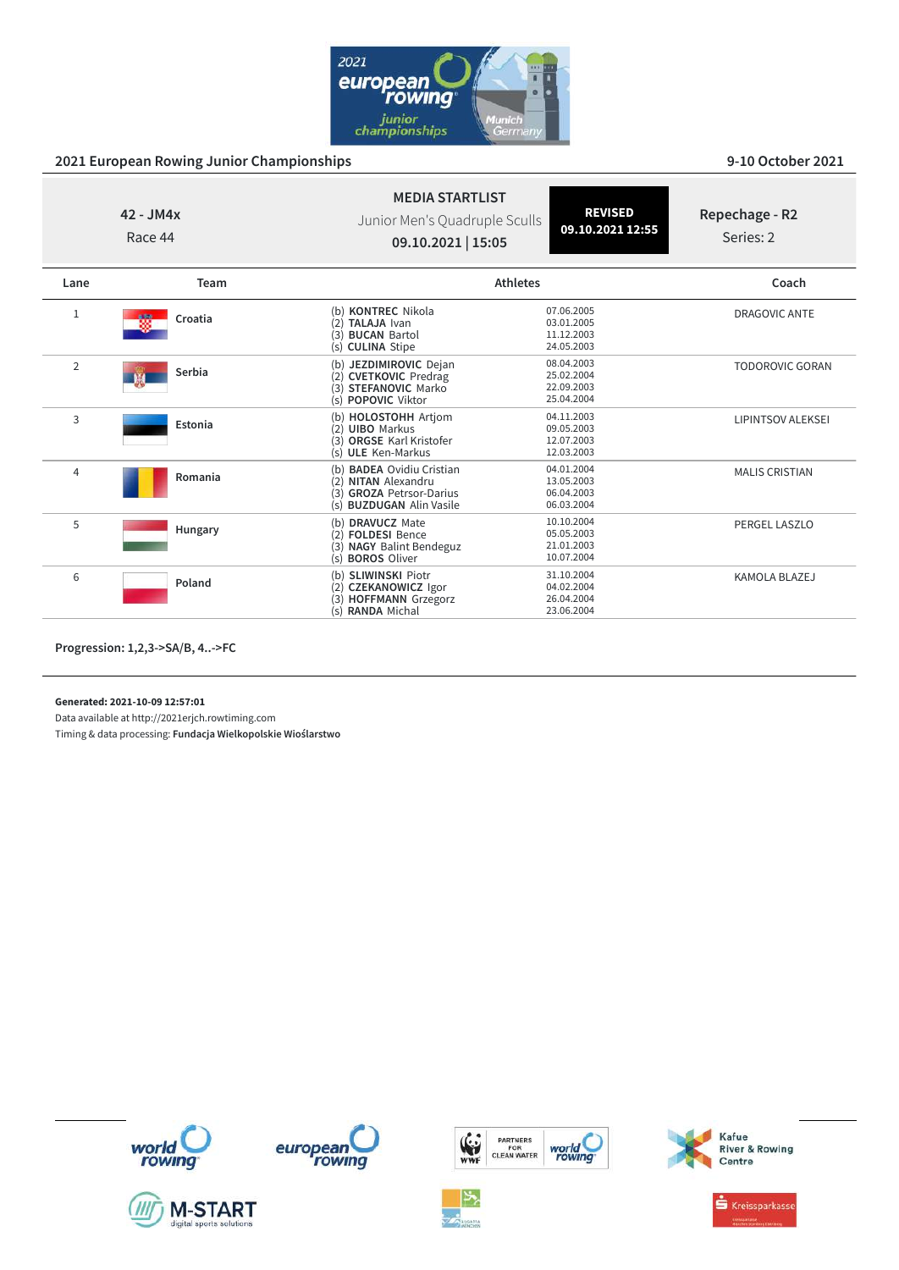

| $42 - JM4x$<br>Race 44 |                        | <b>MEDIA STARTLIST</b><br>Junior Men's Quadruple Sculls<br>09.10.2021   15:05                                                | <b>REVISED</b><br>09.10.2021 12:55                   | Repechage - R2<br>Series: 2 |
|------------------------|------------------------|------------------------------------------------------------------------------------------------------------------------------|------------------------------------------------------|-----------------------------|
| Lane                   | Team                   | <b>Athletes</b>                                                                                                              |                                                      | Coach                       |
| 1                      | 磷<br>Croatia           | (b) KONTREC Nikola<br>(2) TALAJA Ivan<br>(3)<br><b>BUCAN Bartol</b><br>(s) CULINA Stipe                                      | 07.06.2005<br>03.01.2005<br>11.12.2003<br>24.05.2003 | <b>DRAGOVIC ANTE</b>        |
| $\overline{2}$         | Serbia<br>$\mathbf{w}$ | (b) JEZDIMIROVIC Dejan<br>(2) CVETKOVIC Predrag<br>(3) STEFANOVIC Marko<br><b>POPOVIC Viktor</b><br>(s)                      | 08.04.2003<br>25.02.2004<br>22.09.2003<br>25.04.2004 | <b>TODOROVIC GORAN</b>      |
| 3                      | Estonia                | (b) HOLOSTOHH Artjom<br>(2) UIBO Markus<br>(3) ORGSE Karl Kristofer<br>(s) ULE Ken-Markus                                    | 04.11.2003<br>09.05.2003<br>12.07.2003<br>12.03.2003 | <b>LIPINTSOV ALEKSEI</b>    |
| 4                      | Romania                | (b) <b>BADEA</b> Ovidiu Cristian<br><b>NITAN Alexandru</b><br>(3) GROZA Petrsor-Darius<br><b>BUZDUGAN Alin Vasile</b><br>(s) | 04.01.2004<br>13.05.2003<br>06.04.2003<br>06.03.2004 | <b>MALIS CRISTIAN</b>       |
| 5                      | Hungary                | (b) DRAVUCZ Mate<br>(2) FOLDESI Bence<br>(3) NAGY Balint Bendeguz<br>(s) <b>BOROS</b> Oliver                                 | 10.10.2004<br>05.05.2003<br>21.01.2003<br>10.07.2004 | <b>PERGEL LASZLO</b>        |
| 6                      | Poland                 | (b) SLIWINSKI Piotr<br>(2) CZEKANOWICZ Igor<br>(3) HOFFMANN Grzegorz<br>(s) RANDA Michal                                     | 31.10.2004<br>04.02.2004<br>26.04.2004<br>23.06.2004 | <b>KAMOLA BLAZEJ</b>        |

**Progression: 1,2,3->SA/B, 4..->FC**

**Generated: 2021-10-09 12:57:01**

Data available at http://2021erjch.rowtiming.com